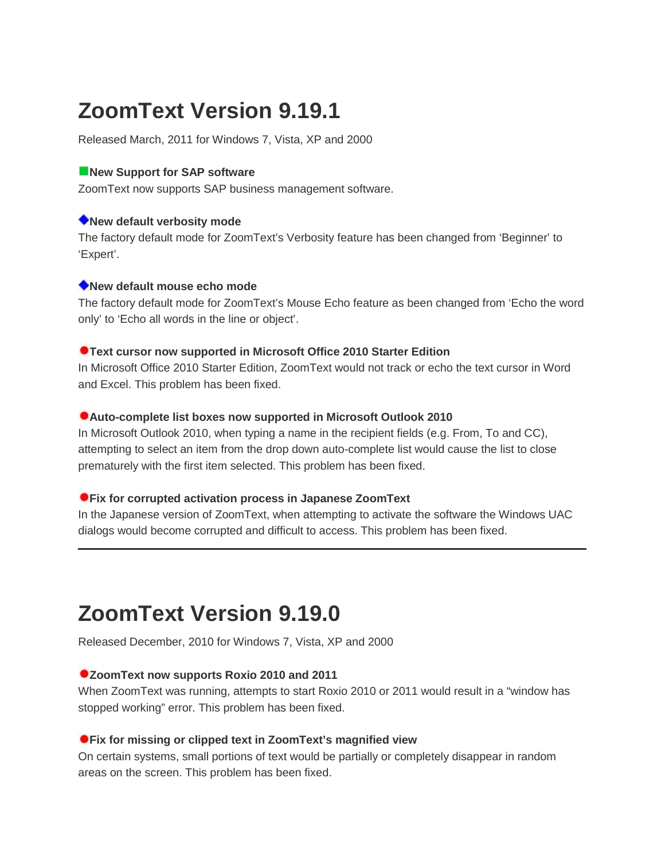# **ZoomText Version 9.19.1**

Released March, 2011 for Windows 7, Vista, XP and 2000

## **New Support for SAP software**

ZoomText now supports SAP business management software.

## **New default verbosity mode**

The factory default mode for ZoomText's Verbosity feature has been changed from 'Beginner' to 'Expert'.

## **New default mouse echo mode**

The factory default mode for ZoomText's Mouse Echo feature as been changed from 'Echo the word only' to 'Echo all words in the line or object'.

## **Text cursor now supported in Microsoft Office 2010 Starter Edition**

In Microsoft Office 2010 Starter Edition, ZoomText would not track or echo the text cursor in Word and Excel. This problem has been fixed.

## **Auto-complete list boxes now supported in Microsoft Outlook 2010**

In Microsoft Outlook 2010, when typing a name in the recipient fields (e.g. From, To and CC), attempting to select an item from the drop down auto-complete list would cause the list to close prematurely with the first item selected. This problem has been fixed.

## **Fix for corrupted activation process in Japanese ZoomText**

In the Japanese version of ZoomText, when attempting to activate the software the Windows UAC dialogs would become corrupted and difficult to access. This problem has been fixed.

# **ZoomText Version 9.19.0**

Released December, 2010 for Windows 7, Vista, XP and 2000

## **ZoomText now supports Roxio 2010 and 2011**

When ZoomText was running, attempts to start Roxio 2010 or 2011 would result in a "window has stopped working" error. This problem has been fixed.

## **Fix for missing or clipped text in ZoomText's magnified view**

On certain systems, small portions of text would be partially or completely disappear in random areas on the screen. This problem has been fixed.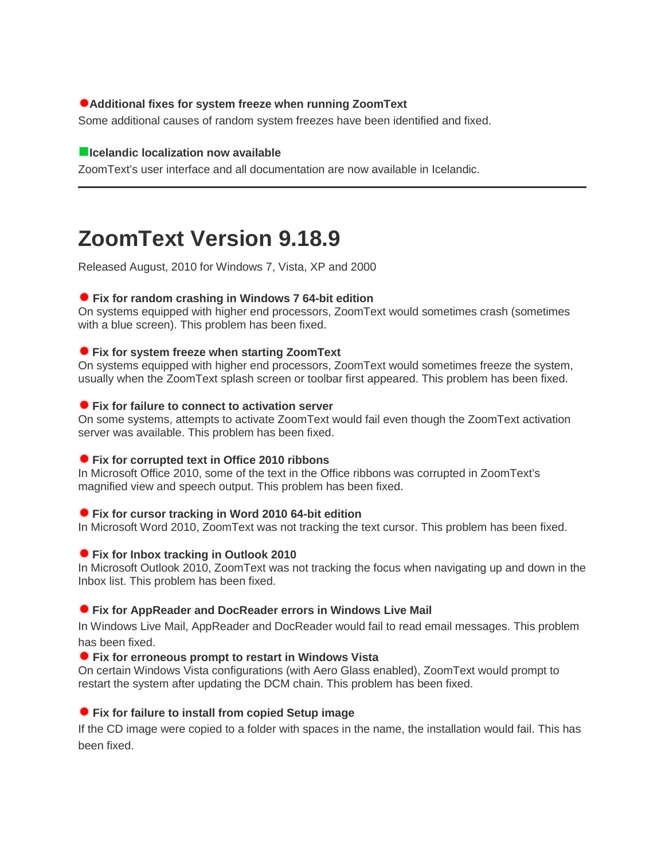## **Additional fixes for system freeze when running ZoomText**

Some additional causes of random system freezes have been identified and fixed.

### **Icelandic localization now available**

ZoomText's user interface and all documentation are now available in Icelandic.

# **ZoomText Version 9.18.9**

Released August, 2010 for Windows 7, Vista, XP and 2000

## **Fix for random crashing in Windows 7 64-bit edition**

On systems equipped with higher end processors, ZoomText would sometimes crash (sometimes with a blue screen). This problem has been fixed.

## **Fix for system freeze when starting ZoomText**

On systems equipped with higher end processors, ZoomText would sometimes freeze the system, usually when the ZoomText splash screen or toolbar first appeared. This problem has been fixed.

## **Fix for failure to connect to activation server**

On some systems, attempts to activate ZoomText would fail even though the ZoomText activation server was available. This problem has been fixed.

## **Fix for corrupted text in Office 2010 ribbons**

In Microsoft Office 2010, some of the text in the Office ribbons was corrupted in ZoomText's magnified view and speech output. This problem has been fixed.

## **Fix for cursor tracking in Word 2010 64-bit edition**

In Microsoft Word 2010, ZoomText was not tracking the text cursor. This problem has been fixed.

## **Fix for Inbox tracking in Outlook 2010**

In Microsoft Outlook 2010, ZoomText was not tracking the focus when navigating up and down in the Inbox list. This problem has been fixed.

## **Fix for AppReader and DocReader errors in Windows Live Mail**

In Windows Live Mail, AppReader and DocReader would fail to read email messages. This problem has been fixed.

#### **Fix for erroneous prompt to restart in Windows Vista**

On certain Windows Vista configurations (with Aero Glass enabled), ZoomText would prompt to restart the system after updating the DCM chain. This problem has been fixed.

## **Fix for failure to install from copied Setup image**

If the CD image were copied to a folder with spaces in the name, the installation would fail. This has been fixed.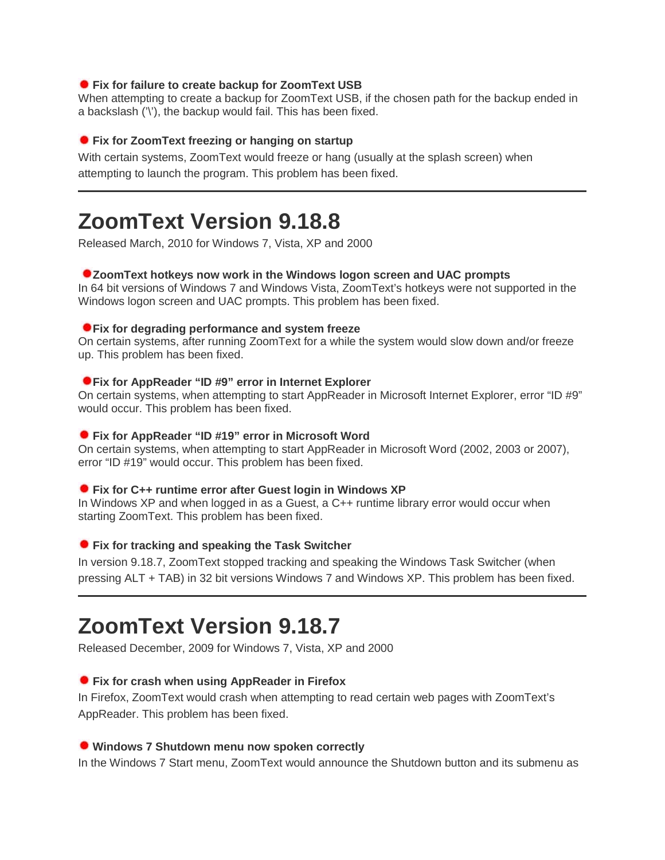#### **Fix for failure to create backup for ZoomText USB**

When attempting to create a backup for ZoomText USB, if the chosen path for the backup ended in a backslash ('\'), the backup would fail. This has been fixed.

#### **Fix for ZoomText freezing or hanging on startup**

With certain systems, ZoomText would freeze or hang (usually at the splash screen) when attempting to launch the program. This problem has been fixed.

## **ZoomText Version 9.18.8**

Released March, 2010 for Windows 7, Vista, XP and 2000

#### **ZoomText hotkeys now work in the Windows logon screen and UAC prompts**

In 64 bit versions of Windows 7 and Windows Vista, ZoomText's hotkeys were not supported in the Windows logon screen and UAC prompts. This problem has been fixed.

#### **Fix for degrading performance and system freeze**

On certain systems, after running ZoomText for a while the system would slow down and/or freeze up. This problem has been fixed.

#### **Fix for AppReader "ID #9" error in Internet Explorer**

On certain systems, when attempting to start AppReader in Microsoft Internet Explorer, error "ID #9" would occur. This problem has been fixed.

#### **Fix for AppReader "ID #19" error in Microsoft Word**

On certain systems, when attempting to start AppReader in Microsoft Word (2002, 2003 or 2007), error "ID #19" would occur. This problem has been fixed.

#### **Fix for C++ runtime error after Guest login in Windows XP**

In Windows XP and when logged in as a Guest, a C++ runtime library error would occur when starting ZoomText. This problem has been fixed.

#### **Fix for tracking and speaking the Task Switcher**

In version 9.18.7, ZoomText stopped tracking and speaking the Windows Task Switcher (when pressing ALT + TAB) in 32 bit versions Windows 7 and Windows XP. This problem has been fixed.

## **ZoomText Version 9.18.7**

Released December, 2009 for Windows 7, Vista, XP and 2000

#### **Fix for crash when using AppReader in Firefox**

In Firefox, ZoomText would crash when attempting to read certain web pages with ZoomText's AppReader. This problem has been fixed.

#### **Windows 7 Shutdown menu now spoken correctly**

In the Windows 7 Start menu, ZoomText would announce the Shutdown button and its submenu as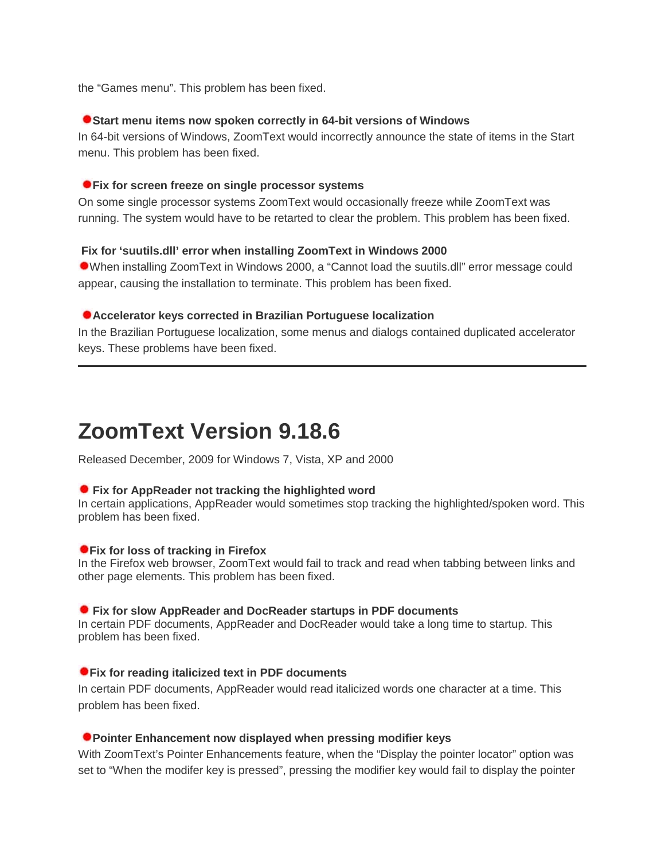the "Games menu". This problem has been fixed.

#### **Start menu items now spoken correctly in 64-bit versions of Windows**

In 64-bit versions of Windows, ZoomText would incorrectly announce the state of items in the Start menu. This problem has been fixed.

#### **Fix for screen freeze on single processor systems**

On some single processor systems ZoomText would occasionally freeze while ZoomText was running. The system would have to be retarted to clear the problem. This problem has been fixed.

## **Fix for 'suutils.dll' error when installing ZoomText in Windows 2000**

When installing ZoomText in Windows 2000, a "Cannot load the suutils.dll" error message could appear, causing the installation to terminate. This problem has been fixed.

## **Accelerator keys corrected in Brazilian Portuguese localization**

In the Brazilian Portuguese localization, some menus and dialogs contained duplicated accelerator keys. These problems have been fixed.

## **ZoomText Version 9.18.6**

Released December, 2009 for Windows 7, Vista, XP and 2000

#### **Fix for AppReader not tracking the highlighted word**

In certain applications, AppReader would sometimes stop tracking the highlighted/spoken word. This problem has been fixed.

#### **Fix for loss of tracking in Firefox**

In the Firefox web browser, ZoomText would fail to track and read when tabbing between links and other page elements. This problem has been fixed.

#### **Fix for slow AppReader and DocReader startups in PDF documents**

In certain PDF documents, AppReader and DocReader would take a long time to startup. This problem has been fixed.

#### **Fix for reading italicized text in PDF documents**

In certain PDF documents, AppReader would read italicized words one character at a time. This problem has been fixed.

#### **Pointer Enhancement now displayed when pressing modifier keys**

With ZoomText's Pointer Enhancements feature, when the "Display the pointer locator" option was set to "When the modifer key is pressed", pressing the modifier key would fail to display the pointer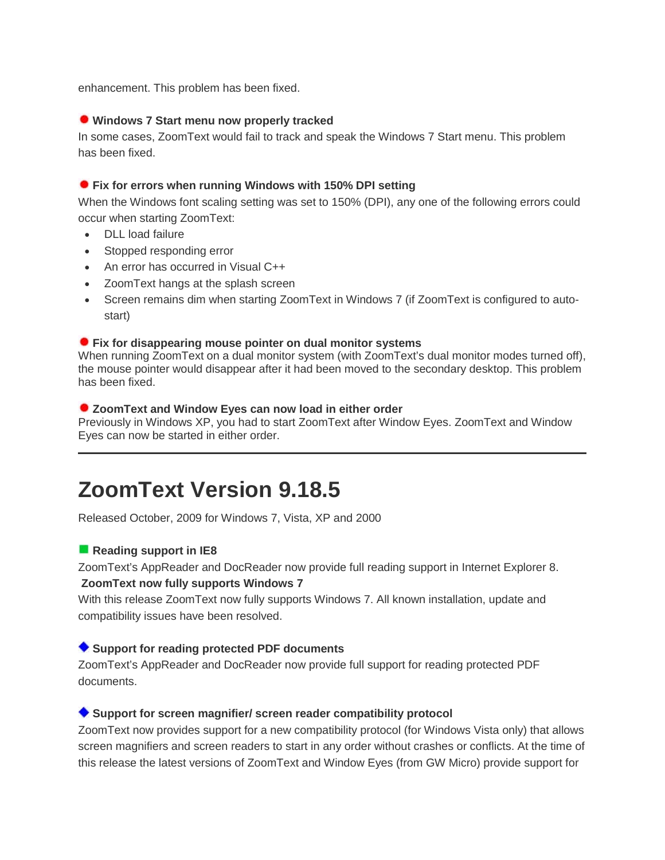enhancement. This problem has been fixed.

## **Windows 7 Start menu now properly tracked**

In some cases, ZoomText would fail to track and speak the Windows 7 Start menu. This problem has been fixed.

#### **Fix for errors when running Windows with 150% DPI setting**

When the Windows font scaling setting was set to 150% (DPI), any one of the following errors could occur when starting ZoomText:

- DLL load failure
- Stopped responding error
- An error has occurred in Visual C++
- ZoomText hangs at the splash screen
- Screen remains dim when starting ZoomText in Windows 7 (if ZoomText is configured to autostart)

#### **Fix for disappearing mouse pointer on dual monitor systems**

When running ZoomText on a dual monitor system (with ZoomText's dual monitor modes turned off), the mouse pointer would disappear after it had been moved to the secondary desktop. This problem has been fixed.

#### **ZoomText and Window Eyes can now load in either order**

Previously in Windows XP, you had to start ZoomText after Window Eyes. ZoomText and Window Eyes can now be started in either order.

## **ZoomText Version 9.18.5**

Released October, 2009 for Windows 7, Vista, XP and 2000

#### **Reading support in IE8**

ZoomText's AppReader and DocReader now provide full reading support in Internet Explorer 8. **ZoomText now fully supports Windows 7**

With this release ZoomText now fully supports Windows 7. All known installation, update and compatibility issues have been resolved.

#### **Support for reading protected PDF documents**

ZoomText's AppReader and DocReader now provide full support for reading protected PDF documents.

#### **Support for screen magnifier/ screen reader compatibility protocol**

ZoomText now provides support for a new compatibility protocol (for Windows Vista only) that allows screen magnifiers and screen readers to start in any order without crashes or conflicts. At the time of this release the latest versions of ZoomText and Window Eyes (from GW Micro) provide support for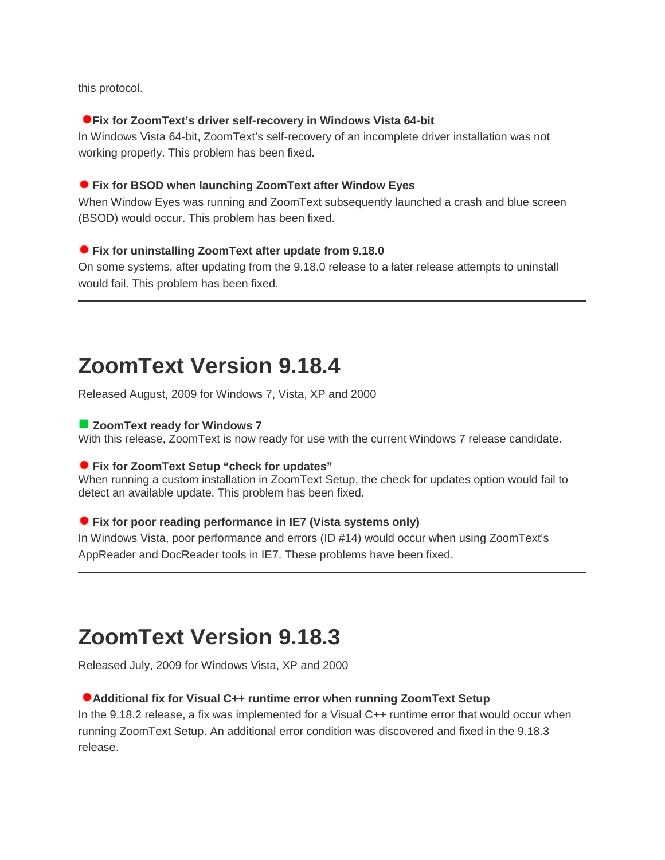this protocol.

## **Fix for ZoomText's driver self-recovery in Windows Vista 64-bit**

In Windows Vista 64-bit, ZoomText's self-recovery of an incomplete driver installation was not working properly. This problem has been fixed.

## **Fix for BSOD when launching ZoomText after Window Eyes**

When Window Eyes was running and ZoomText subsequently launched a crash and blue screen (BSOD) would occur. This problem has been fixed.

## **Fix for uninstalling ZoomText after update from 9.18.0**

On some systems, after updating from the 9.18.0 release to a later release attempts to uninstall would fail. This problem has been fixed.

# **ZoomText Version 9.18.4**

Released August, 2009 for Windows 7, Vista, XP and 2000

## **ZoomText ready for Windows 7**

With this release, ZoomText is now ready for use with the current Windows 7 release candidate.

## **Fix for ZoomText Setup "check for updates"**

When running a custom installation in ZoomText Setup, the check for updates option would fail to detect an available update. This problem has been fixed.

## **Fix for poor reading performance in IE7 (Vista systems only)**

In Windows Vista, poor performance and errors (ID #14) would occur when using ZoomText's AppReader and DocReader tools in IE7. These problems have been fixed.

# **ZoomText Version 9.18.3**

Released July, 2009 for Windows Vista, XP and 2000

## **Additional fix for Visual C++ runtime error when running ZoomText Setup**

In the 9.18.2 release, a fix was implemented for a Visual C++ runtime error that would occur when running ZoomText Setup. An additional error condition was discovered and fixed in the 9.18.3 release.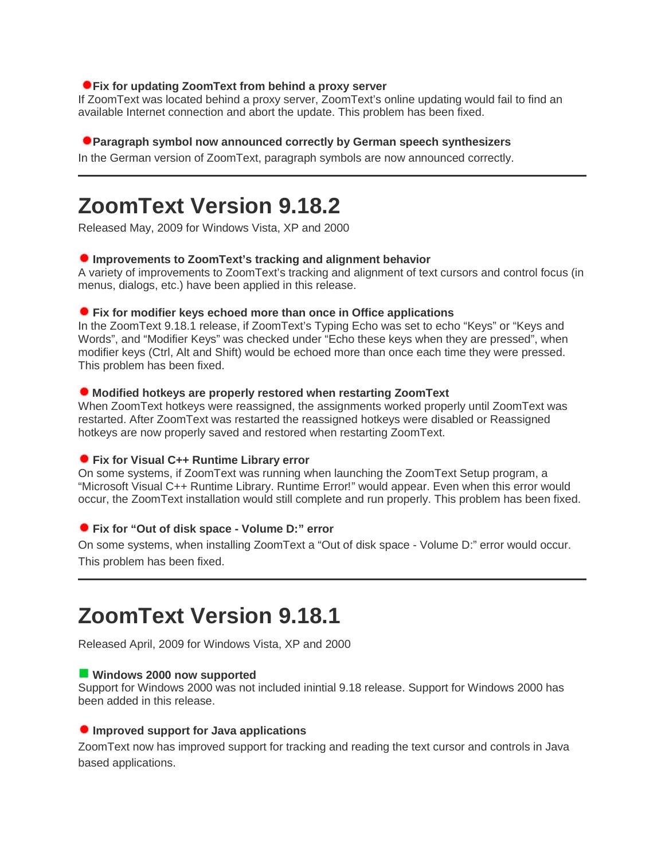## **Fix for updating ZoomText from behind a proxy server**

If ZoomText was located behind a proxy server, ZoomText's online updating would fail to find an available Internet connection and abort the update. This problem has been fixed.

#### **Paragraph symbol now announced correctly by German speech synthesizers**

In the German version of ZoomText, paragraph symbols are now announced correctly.

## **ZoomText Version 9.18.2**

Released May, 2009 for Windows Vista, XP and 2000

## **Improvements to ZoomText's tracking and alignment behavior**

A variety of improvements to ZoomText's tracking and alignment of text cursors and control focus (in menus, dialogs, etc.) have been applied in this release.

#### **Fix for modifier keys echoed more than once in Office applications**

In the ZoomText 9.18.1 release, if ZoomText's Typing Echo was set to echo "Keys" or "Keys and Words", and "Modifier Keys" was checked under "Echo these keys when they are pressed", when modifier keys (Ctrl, Alt and Shift) would be echoed more than once each time they were pressed. This problem has been fixed.

#### **Modified hotkeys are properly restored when restarting ZoomText**

When ZoomText hotkeys were reassigned, the assignments worked properly until ZoomText was restarted. After ZoomText was restarted the reassigned hotkeys were disabled or Reassigned hotkeys are now properly saved and restored when restarting ZoomText.

#### **Fix for Visual C++ Runtime Library error**

On some systems, if ZoomText was running when launching the ZoomText Setup program, a "Microsoft Visual C++ Runtime Library. Runtime Error!" would appear. Even when this error would occur, the ZoomText installation would still complete and run properly. This problem has been fixed.

## **Fix for "Out of disk space - Volume D:" error**

On some systems, when installing ZoomText a "Out of disk space - Volume D:" error would occur. This problem has been fixed.

## **ZoomText Version 9.18.1**

Released April, 2009 for Windows Vista, XP and 2000

#### **Windows 2000 now supported**

Support for Windows 2000 was not included inintial 9.18 release. Support for Windows 2000 has been added in this release.

#### **Improved support for Java applications**

ZoomText now has improved support for tracking and reading the text cursor and controls in Java based applications.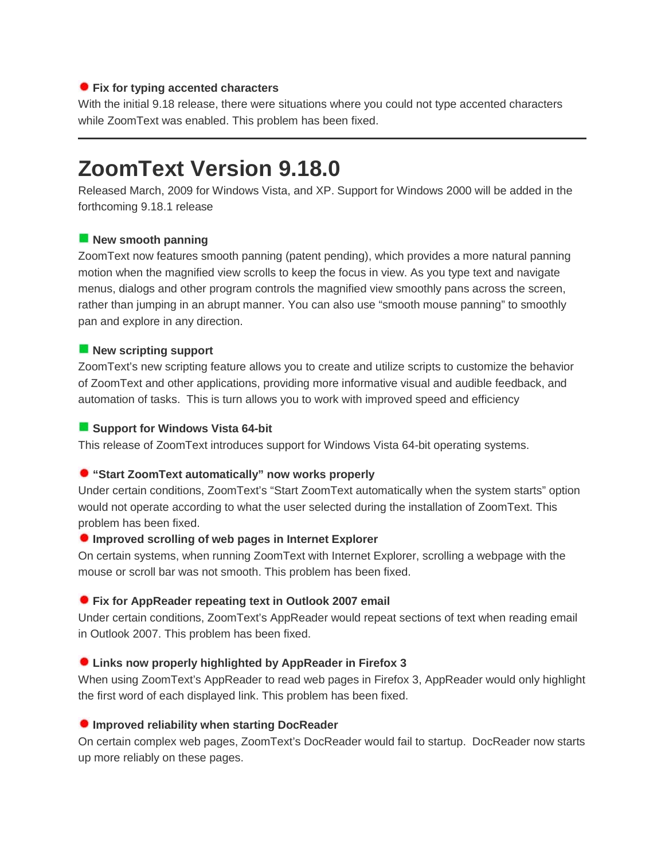## **Fix for typing accented characters**

With the initial 9.18 release, there were situations where you could not type accented characters while ZoomText was enabled. This problem has been fixed.

## **ZoomText Version 9.18.0**

Released March, 2009 for Windows Vista, and XP. Support for Windows 2000 will be added in the forthcoming 9.18.1 release

## **New smooth panning**

ZoomText now features smooth panning (patent pending), which provides a more natural panning motion when the magnified view scrolls to keep the focus in view. As you type text and navigate menus, dialogs and other program controls the magnified view smoothly pans across the screen, rather than jumping in an abrupt manner. You can also use "smooth mouse panning" to smoothly pan and explore in any direction.

## **New scripting support**

ZoomText's new scripting feature allows you to create and utilize scripts to customize the behavior of ZoomText and other applications, providing more informative visual and audible feedback, and automation of tasks. This is turn allows you to work with improved speed and efficiency

## **Support for Windows Vista 64-bit**

This release of ZoomText introduces support for Windows Vista 64-bit operating systems.

## **"Start ZoomText automatically" now works properly**

Under certain conditions, ZoomText's "Start ZoomText automatically when the system starts" option would not operate according to what the user selected during the installation of ZoomText. This problem has been fixed.

## **Improved scrolling of web pages in Internet Explorer**

On certain systems, when running ZoomText with Internet Explorer, scrolling a webpage with the mouse or scroll bar was not smooth. This problem has been fixed.

## **Fix for AppReader repeating text in Outlook 2007 email**

Under certain conditions, ZoomText's AppReader would repeat sections of text when reading email in Outlook 2007. This problem has been fixed.

## **Links now properly highlighted by AppReader in Firefox 3**

When using ZoomText's AppReader to read web pages in Firefox 3, AppReader would only highlight the first word of each displayed link. This problem has been fixed.

## **Improved reliability when starting DocReader**

On certain complex web pages, ZoomText's DocReader would fail to startup. DocReader now starts up more reliably on these pages.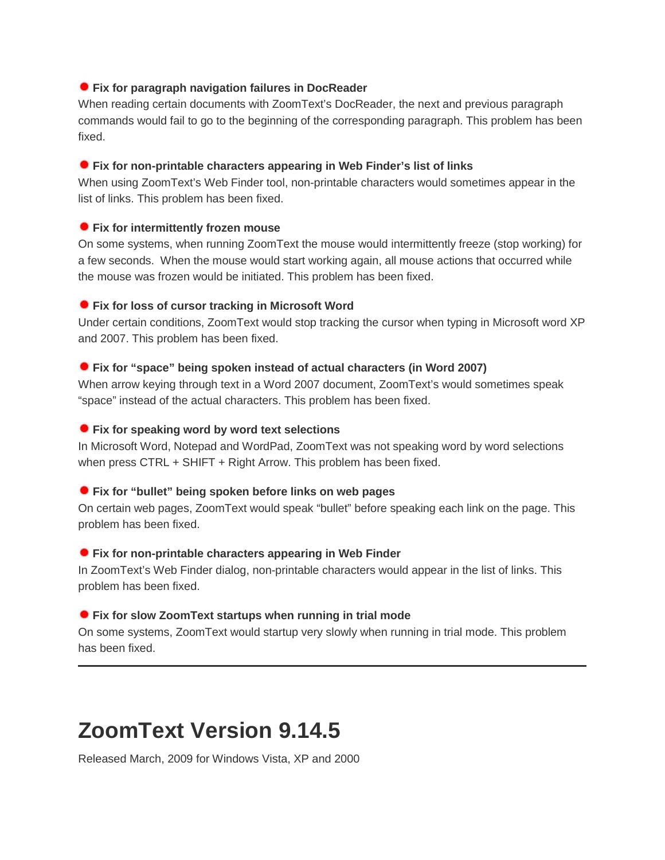## **Fix for paragraph navigation failures in DocReader**

When reading certain documents with ZoomText's DocReader, the next and previous paragraph commands would fail to go to the beginning of the corresponding paragraph. This problem has been fixed.

## **Fix for non-printable characters appearing in Web Finder's list of links**

When using ZoomText's Web Finder tool, non-printable characters would sometimes appear in the list of links. This problem has been fixed.

## **Fix for intermittently frozen mouse**

On some systems, when running ZoomText the mouse would intermittently freeze (stop working) for a few seconds. When the mouse would start working again, all mouse actions that occurred while the mouse was frozen would be initiated. This problem has been fixed.

## **Fix for loss of cursor tracking in Microsoft Word**

Under certain conditions, ZoomText would stop tracking the cursor when typing in Microsoft word XP and 2007. This problem has been fixed.

## **Fix for "space" being spoken instead of actual characters (in Word 2007)**

When arrow keying through text in a Word 2007 document, ZoomText's would sometimes speak "space" instead of the actual characters. This problem has been fixed.

## **Fix for speaking word by word text selections**

In Microsoft Word, Notepad and WordPad, ZoomText was not speaking word by word selections when press CTRL + SHIFT + Right Arrow. This problem has been fixed.

## **Fix for "bullet" being spoken before links on web pages**

On certain web pages, ZoomText would speak "bullet" before speaking each link on the page. This problem has been fixed.

## **Fix for non-printable characters appearing in Web Finder**

In ZoomText's Web Finder dialog, non-printable characters would appear in the list of links. This problem has been fixed.

## **Fix for slow ZoomText startups when running in trial mode**

On some systems, ZoomText would startup very slowly when running in trial mode. This problem has been fixed.

# **ZoomText Version 9.14.5**

Released March, 2009 for Windows Vista, XP and 2000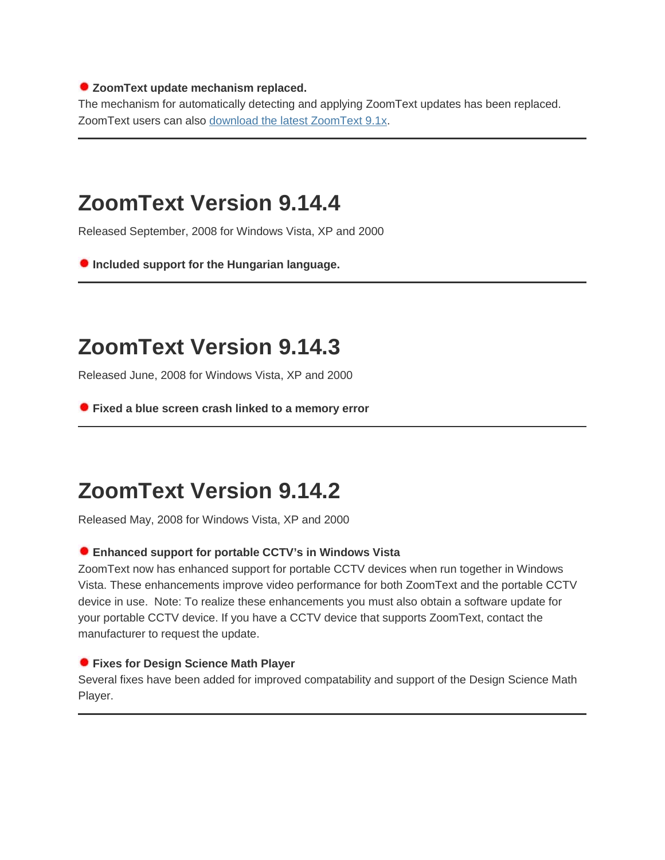## **ZoomText update mechanism replaced.**

The mechanism for automatically detecting and applying ZoomText updates has been replaced. ZoomText users can also download the latest [ZoomText](http://209.200.86.163/support/more/updates/) 9.1x.

## **ZoomText Version 9.14.4**

Released September, 2008 for Windows Vista, XP and 2000

**Included support for the Hungarian language.**

# **ZoomText Version 9.14.3**

Released June, 2008 for Windows Vista, XP and 2000

**Fixed a blue screen crash linked to a memory error**

# **ZoomText Version 9.14.2**

Released May, 2008 for Windows Vista, XP and 2000

## **Enhanced support for portable CCTV's in Windows Vista**

ZoomText now has enhanced support for portable CCTV devices when run together in Windows Vista. These enhancements improve video performance for both ZoomText and the portable CCTV device in use. Note: To realize these enhancements you must also obtain a software update for your portable CCTV device. If you have a CCTV device that supports ZoomText, contact the manufacturer to request the update.

## **Fixes for Design Science Math Player**

Several fixes have been added for improved compatability and support of the Design Science Math Player.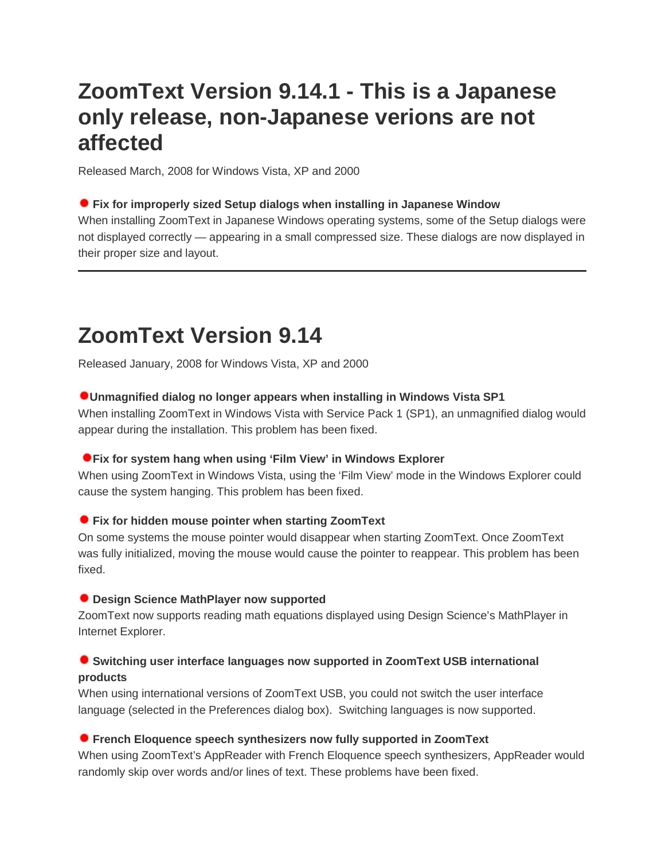# **ZoomText Version 9.14.1 - This is a Japanese only release, non-Japanese verions are not affected**

Released March, 2008 for Windows Vista, XP and 2000

## **Fix for improperly sized Setup dialogs when installing in Japanese Window**

When installing ZoomText in Japanese Windows operating systems, some of the Setup dialogs were not displayed correctly — appearing in a small compressed size. These dialogs are now displayed in their proper size and layout.

# **ZoomText Version 9.14**

Released January, 2008 for Windows Vista, XP and 2000

## **Unmagnified dialog no longer appears when installing in Windows Vista SP1**

When installing ZoomText in Windows Vista with Service Pack 1 (SP1), an unmagnified dialog would appear during the installation. This problem has been fixed.

## **Fix for system hang when using 'Film View' in Windows Explorer**

When using ZoomText in Windows Vista, using the 'Film View' mode in the Windows Explorer could cause the system hanging. This problem has been fixed.

## **Fix for hidden mouse pointer when starting ZoomText**

On some systems the mouse pointer would disappear when starting ZoomText. Once ZoomText was fully initialized, moving the mouse would cause the pointer to reappear. This problem has been fixed.

## **Design Science MathPlayer now supported**

ZoomText now supports reading math equations displayed using Design Science's MathPlayer in Internet Explorer.

## **Switching user interface languages now supported in ZoomText USB international products**

When using international versions of ZoomText USB, you could not switch the user interface language (selected in the Preferences dialog box). Switching languages is now supported.

## **French Eloquence speech synthesizers now fully supported in ZoomText**

When using ZoomText's AppReader with French Eloquence speech synthesizers, AppReader would randomly skip over words and/or lines of text. These problems have been fixed.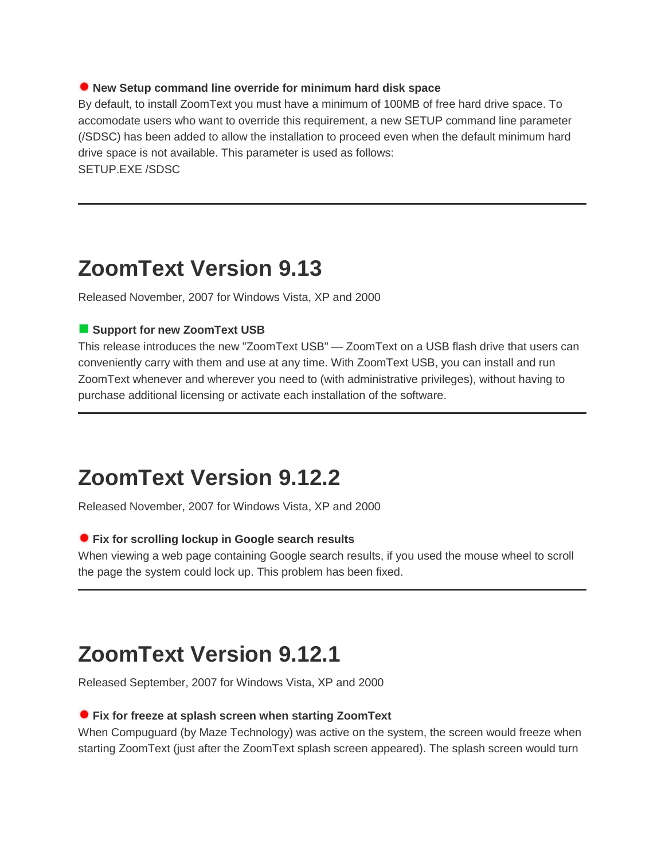### **New Setup command line override for minimum hard disk space**

By default, to install ZoomText you must have a minimum of 100MB of free hard drive space. To accomodate users who want to override this requirement, a new SETUP command line parameter (/SDSC) has been added to allow the installation to proceed even when the default minimum hard drive space is not available. This parameter is used as follows: SETUP.EXE /SDSC

## **ZoomText Version 9.13**

Released November, 2007 for Windows Vista, XP and 2000

## **Support for new ZoomText USB**

This release introduces the new "ZoomText USB" — ZoomText on a USB flash drive that users can conveniently carry with them and use at any time. With ZoomText USB, you can install and run ZoomText whenever and wherever you need to (with administrative privileges), without having to purchase additional licensing or activate each installation of the software.

## **ZoomText Version 9.12.2**

Released November, 2007 for Windows Vista, XP and 2000

### **Fix for scrolling lockup in Google search results**

When viewing a web page containing Google search results, if you used the mouse wheel to scroll the page the system could lock up. This problem has been fixed.

# **ZoomText Version 9.12.1**

Released September, 2007 for Windows Vista, XP and 2000

#### **Fix for freeze at splash screen when starting ZoomText**

When Compuguard (by Maze Technology) was active on the system, the screen would freeze when starting ZoomText (just after the ZoomText splash screen appeared). The splash screen would turn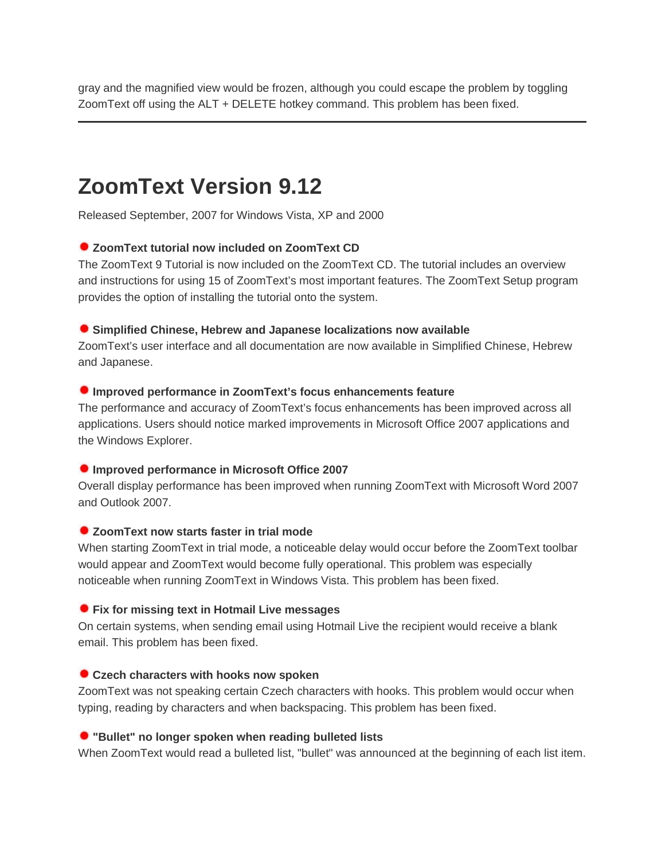gray and the magnified view would be frozen, although you could escape the problem by toggling ZoomText off using the ALT + DELETE hotkey command. This problem has been fixed.

## **ZoomText Version 9.12**

Released September, 2007 for Windows Vista, XP and 2000

## **ZoomText tutorial now included on ZoomText CD**

The ZoomText 9 Tutorial is now included on the ZoomText CD. The tutorial includes an overview and instructions for using 15 of ZoomText's most important features. The ZoomText Setup program provides the option of installing the tutorial onto the system.

#### **Simplified Chinese, Hebrew and Japanese localizations now available**

ZoomText's user interface and all documentation are now available in Simplified Chinese, Hebrew and Japanese.

#### **Improved performance in ZoomText's focus enhancements feature**

The performance and accuracy of ZoomText's focus enhancements has been improved across all applications. Users should notice marked improvements in Microsoft Office 2007 applications and the Windows Explorer.

#### **Improved performance in Microsoft Office 2007**

Overall display performance has been improved when running ZoomText with Microsoft Word 2007 and Outlook 2007.

## **ZoomText now starts faster in trial mode**

When starting ZoomText in trial mode, a noticeable delay would occur before the ZoomText toolbar would appear and ZoomText would become fully operational. This problem was especially noticeable when running ZoomText in Windows Vista. This problem has been fixed.

#### **Fix for missing text in Hotmail Live messages**

On certain systems, when sending email using Hotmail Live the recipient would receive a blank email. This problem has been fixed.

## **Czech characters with hooks now spoken**

ZoomText was not speaking certain Czech characters with hooks. This problem would occur when typing, reading by characters and when backspacing. This problem has been fixed.

#### **"Bullet" no longer spoken when reading bulleted lists**

When ZoomText would read a bulleted list, "bullet" was announced at the beginning of each list item.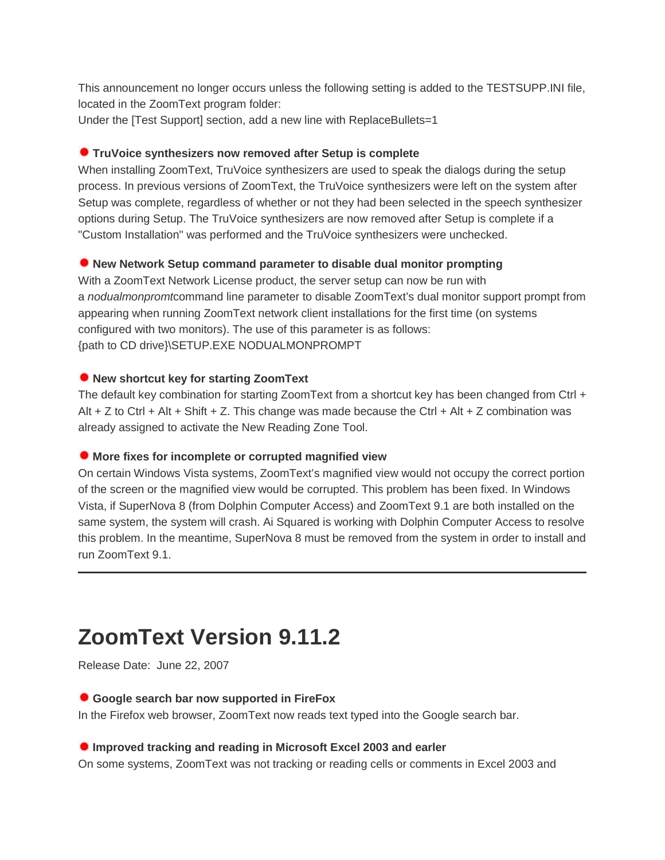This announcement no longer occurs unless the following setting is added to the TESTSUPP.INI file, located in the ZoomText program folder:

Under the [Test Support] section, add a new line with ReplaceBullets=1

### **TruVoice synthesizers now removed after Setup is complete**

When installing ZoomText, TruVoice synthesizers are used to speak the dialogs during the setup process. In previous versions of ZoomText, the TruVoice synthesizers were left on the system after Setup was complete, regardless of whether or not they had been selected in the speech synthesizer options during Setup. The TruVoice synthesizers are now removed after Setup is complete if a "Custom Installation" was performed and the TruVoice synthesizers were unchecked.

## **New Network Setup command parameter to disable dual monitor prompting**

With a ZoomText Network License product, the server setup can now be run with a *nodualmonpromt*command line parameter to disable ZoomText's dual monitor support prompt from appearing when running ZoomText network client installations for the first time (on systems configured with two monitors). The use of this parameter is as follows: {path to CD drive}\SETUP.EXE NODUALMONPROMPT

#### **New shortcut key for starting ZoomText**

The default key combination for starting ZoomText from a shortcut key has been changed from Ctrl + Alt + Z to Ctrl + Alt + Shift + Z. This change was made because the Ctrl + Alt + Z combination was already assigned to activate the New Reading Zone Tool.

#### **More fixes for incomplete or corrupted magnified view**

On certain Windows Vista systems, ZoomText's magnified view would not occupy the correct portion of the screen or the magnified view would be corrupted. This problem has been fixed. In Windows Vista, if SuperNova 8 (from Dolphin Computer Access) and ZoomText 9.1 are both installed on the same system, the system will crash. Ai Squared is working with Dolphin Computer Access to resolve this problem. In the meantime, SuperNova 8 must be removed from the system in order to install and run ZoomText 9.1.

# **ZoomText Version 9.11.2**

Release Date: June 22, 2007

#### **Google search bar now supported in FireFox**

In the Firefox web browser, ZoomText now reads text typed into the Google search bar.

#### **Improved tracking and reading in Microsoft Excel 2003 and earler**

On some systems, ZoomText was not tracking or reading cells or comments in Excel 2003 and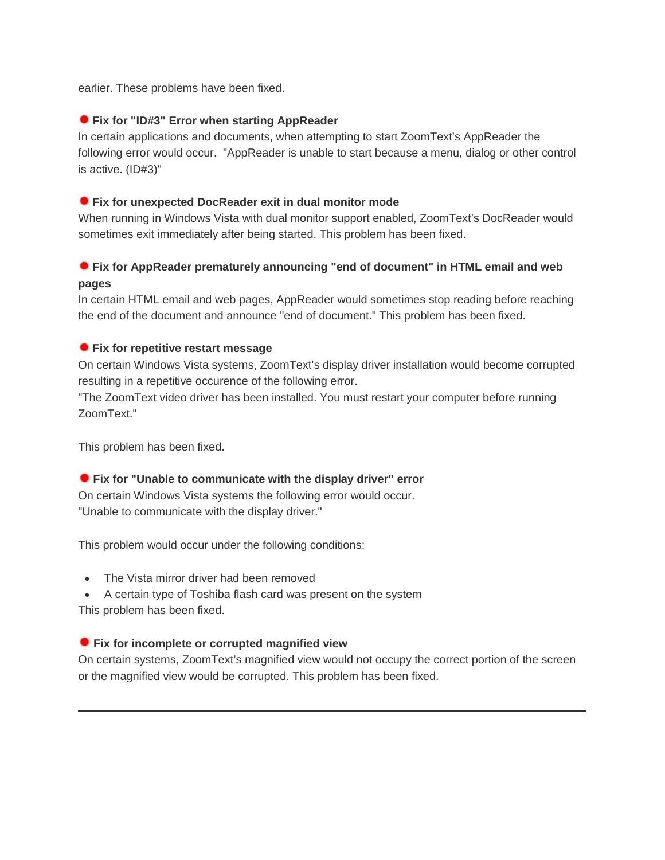earlier. These problems have been fixed.

## **Fix for "ID#3" Error when starting AppReader**

In certain applications and documents, when attempting to start ZoomText's AppReader the following error would occur. "AppReader is unable to start because a menu, dialog or other control is active. (ID#3)"

## **Fix for unexpected DocReader exit in dual monitor mode**

When running in Windows Vista with dual monitor support enabled, ZoomText's DocReader would sometimes exit immediately after being started. This problem has been fixed.

## **Fix for AppReader prematurely announcing "end of document" in HTML email and web pages**

In certain HTML email and web pages, AppReader would sometimes stop reading before reaching the end of the document and announce "end of document." This problem has been fixed.

## **Fix for repetitive restart message**

On certain Windows Vista systems, ZoomText's display driver installation would become corrupted resulting in a repetitive occurence of the following error.

"The ZoomText video driver has been installed. You must restart your computer before running ZoomText."

This problem has been fixed.

## **Fix for "Unable to communicate with the display driver" error**

On certain Windows Vista systems the following error would occur. "Unable to communicate with the display driver."

This problem would occur under the following conditions:

• The Vista mirror driver had been removed

• A certain type of Toshiba flash card was present on the system This problem has been fixed.

## **Fix for incomplete or corrupted magnified view**

On certain systems, ZoomText's magnified view would not occupy the correct portion of the screen or the magnified view would be corrupted. This problem has been fixed.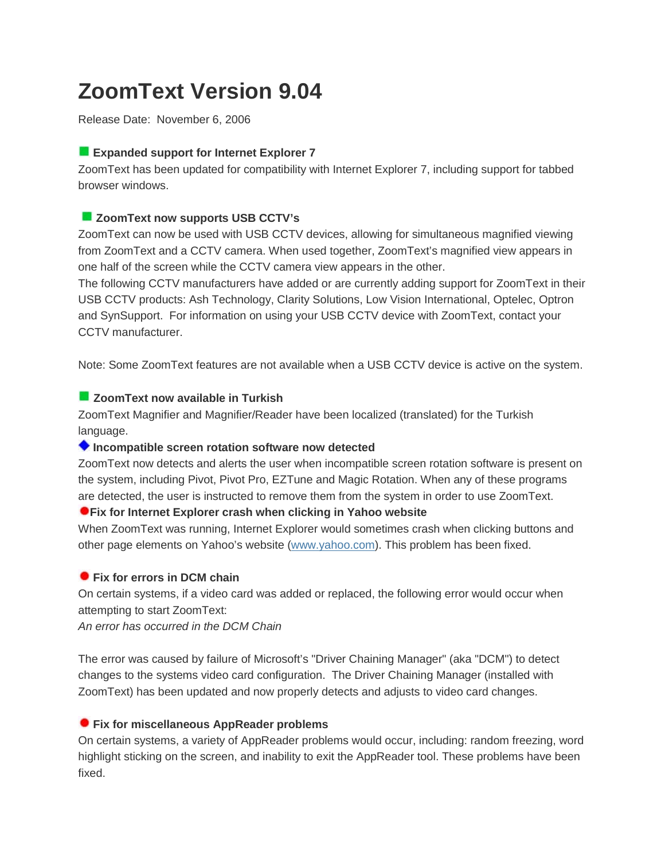# **ZoomText Version 9.04**

Release Date: November 6, 2006

## **Expanded support for Internet Explorer 7**

ZoomText has been updated for compatibility with Internet Explorer 7, including support for tabbed browser windows.

## **ZoomText now supports USB CCTV's**

ZoomText can now be used with USB CCTV devices, allowing for simultaneous magnified viewing from ZoomText and a CCTV camera. When used together, ZoomText's magnified view appears in one half of the screen while the CCTV camera view appears in the other.

The following CCTV manufacturers have added or are currently adding support for ZoomText in their USB CCTV products: Ash Technology, Clarity Solutions, Low Vision International, Optelec, Optron and SynSupport. For information on using your USB CCTV device with ZoomText, contact your CCTV manufacturer.

Note: Some ZoomText features are not available when a USB CCTV device is active on the system.

## **ZoomText now available in Turkish**

ZoomText Magnifier and Magnifier/Reader have been localized (translated) for the Turkish language.

## **Incompatible screen rotation software now detected**

ZoomText now detects and alerts the user when incompatible screen rotation software is present on the system, including Pivot, Pivot Pro, EZTune and Magic Rotation. When any of these programs are detected, the user is instructed to remove them from the system in order to use ZoomText.

## **Fix for Internet Explorer crash when clicking in Yahoo website**

When ZoomText was running, Internet Explorer would sometimes crash when clicking buttons and other page elements on Yahoo's website [\(www.yahoo.com\)](http://www.yahoo.com/). This problem has been fixed.

## **Fix for errors in DCM chain**

On certain systems, if a video card was added or replaced, the following error would occur when attempting to start ZoomText:

*An error has occurred in the DCM Chain*

The error was caused by failure of Microsoft's "Driver Chaining Manager" (aka "DCM") to detect changes to the systems video card configuration. The Driver Chaining Manager (installed with ZoomText) has been updated and now properly detects and adjusts to video card changes.

## **Fix for miscellaneous AppReader problems**

On certain systems, a variety of AppReader problems would occur, including: random freezing, word highlight sticking on the screen, and inability to exit the AppReader tool. These problems have been fixed.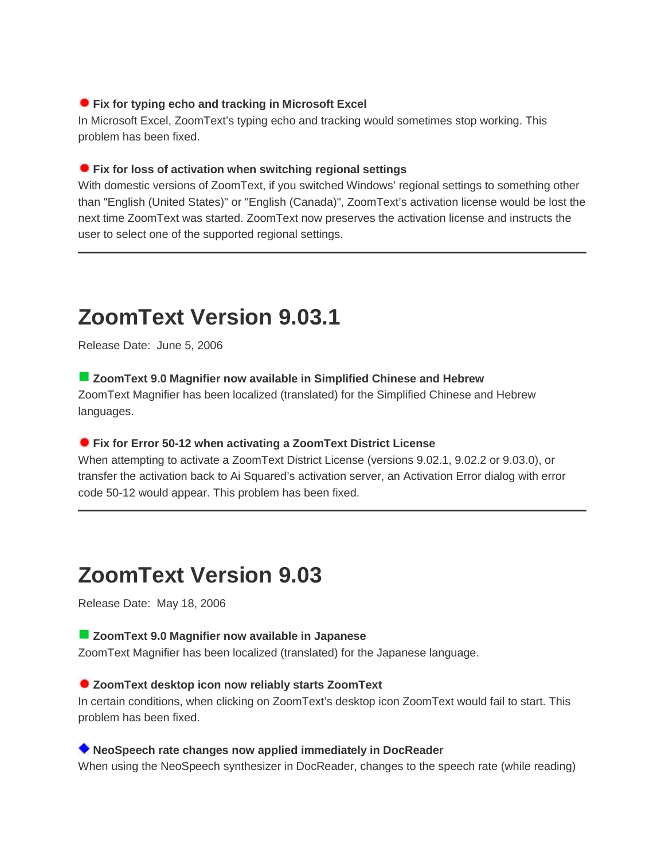## **Fix for typing echo and tracking in Microsoft Excel**

In Microsoft Excel, ZoomText's typing echo and tracking would sometimes stop working. This problem has been fixed.

#### **Fix for loss of activation when switching regional settings**

With domestic versions of ZoomText, if you switched Windows' regional settings to something other than "English (United States)" or "English (Canada)", ZoomText's activation license would be lost the next time ZoomText was started. ZoomText now preserves the activation license and instructs the user to select one of the supported regional settings.

# **ZoomText Version 9.03.1**

Release Date: June 5, 2006

**ZoomText 9.0 Magnifier now available in Simplified Chinese and Hebrew**

ZoomText Magnifier has been localized (translated) for the Simplified Chinese and Hebrew languages.

#### **Fix for Error 50-12 when activating a ZoomText District License**

When attempting to activate a ZoomText District License (versions 9.02.1, 9.02.2 or 9.03.0), or transfer the activation back to Ai Squared's activation server, an Activation Error dialog with error code 50-12 would appear. This problem has been fixed.

## **ZoomText Version 9.03**

Release Date: May 18, 2006

#### **ZoomText 9.0 Magnifier now available in Japanese**

ZoomText Magnifier has been localized (translated) for the Japanese language.

#### **ZoomText desktop icon now reliably starts ZoomText**

In certain conditions, when clicking on ZoomText's desktop icon ZoomText would fail to start. This problem has been fixed.

### **NeoSpeech rate changes now applied immediately in DocReader**

When using the NeoSpeech synthesizer in DocReader, changes to the speech rate (while reading)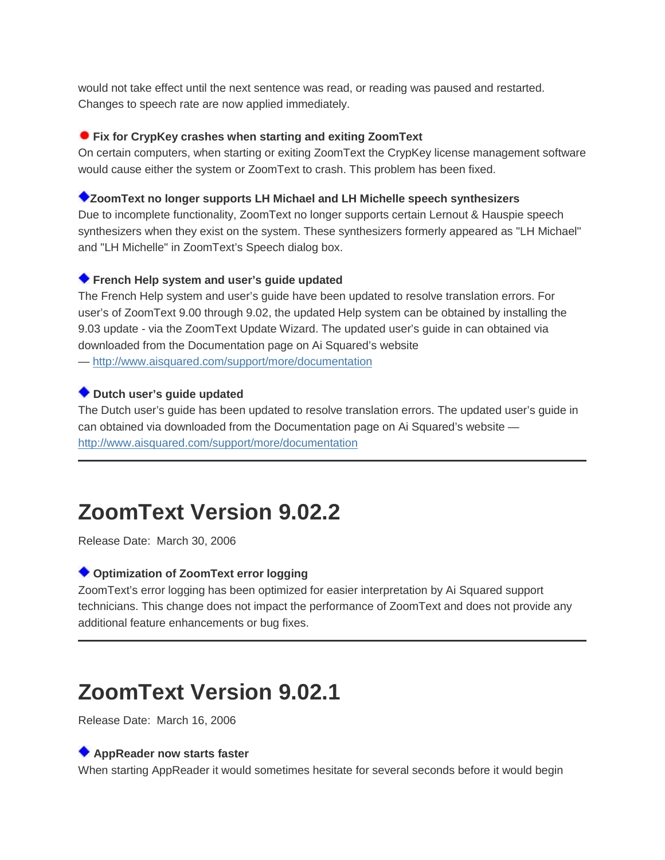would not take effect until the next sentence was read, or reading was paused and restarted. Changes to speech rate are now applied immediately.

## **Fix for CrypKey crashes when starting and exiting ZoomText**

On certain computers, when starting or exiting ZoomText the CrypKey license management software would cause either the system or ZoomText to crash. This problem has been fixed.

## **ZoomText no longer supports LH Michael and LH Michelle speech synthesizers**

Due to incomplete functionality, ZoomText no longer supports certain Lernout & Hauspie speech synthesizers when they exist on the system. These synthesizers formerly appeared as "LH Michael" and "LH Michelle" in ZoomText's Speech dialog box.

## **French Help system and user's guide updated**

The French Help system and user's guide have been updated to resolve translation errors. For user's of ZoomText 9.00 through 9.02, the updated Help system can be obtained by installing the 9.03 update - via the ZoomText Update Wizard. The updated user's guide in can obtained via downloaded from the Documentation page on Ai Squared's website — [http://www.aisquared.com/support/more/documentation](http://209.200.86.163/support/more/documentation)

## **Dutch user's guide updated**

The Dutch user's guide has been updated to resolve translation errors. The updated user's guide in can obtained via downloaded from the Documentation page on Ai Squared's website [http://www.aisquared.com/support/more/documentation](http://209.200.86.163/support/more/documentation)

# **ZoomText Version 9.02.2**

Release Date: March 30, 2006

## **Optimization of ZoomText error logging**

ZoomText's error logging has been optimized for easier interpretation by Ai Squared support technicians. This change does not impact the performance of ZoomText and does not provide any additional feature enhancements or bug fixes.

## **ZoomText Version 9.02.1**

Release Date: March 16, 2006

## **AppReader now starts faster**

When starting AppReader it would sometimes hesitate for several seconds before it would begin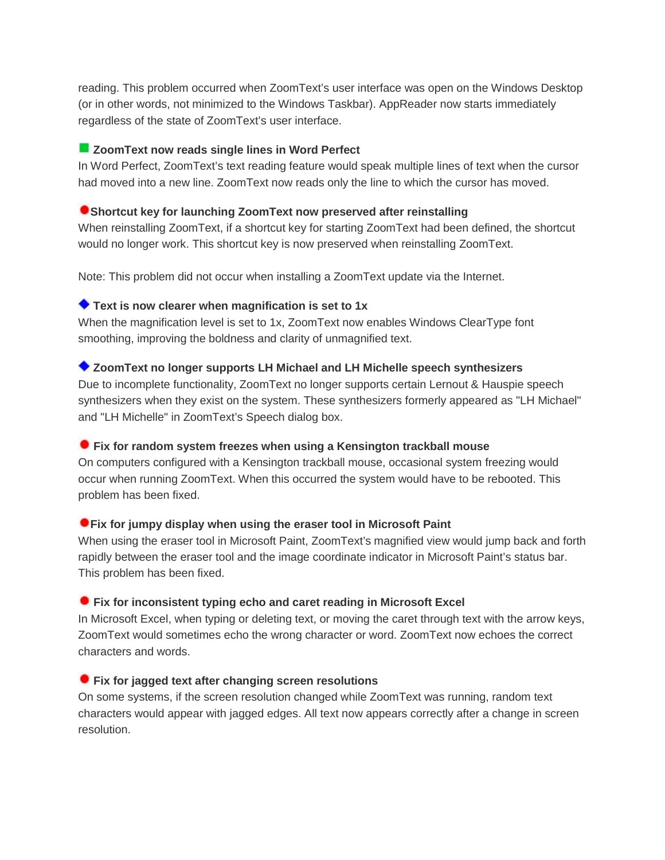reading. This problem occurred when ZoomText's user interface was open on the Windows Desktop (or in other words, not minimized to the Windows Taskbar). AppReader now starts immediately regardless of the state of ZoomText's user interface.

## **ZoomText now reads single lines in Word Perfect**

In Word Perfect, ZoomText's text reading feature would speak multiple lines of text when the cursor had moved into a new line. ZoomText now reads only the line to which the cursor has moved.

#### **Shortcut key for launching ZoomText now preserved after reinstalling**

When reinstalling ZoomText, if a shortcut key for starting ZoomText had been defined, the shortcut would no longer work. This shortcut key is now preserved when reinstalling ZoomText.

Note: This problem did not occur when installing a ZoomText update via the Internet.

## **Text is now clearer when magnification is set to 1x**

When the magnification level is set to 1x, ZoomText now enables Windows ClearType font smoothing, improving the boldness and clarity of unmagnified text.

## **ZoomText no longer supports LH Michael and LH Michelle speech synthesizers**

Due to incomplete functionality, ZoomText no longer supports certain Lernout & Hauspie speech synthesizers when they exist on the system. These synthesizers formerly appeared as "LH Michael" and "LH Michelle" in ZoomText's Speech dialog box.

#### **Fix for random system freezes when using a Kensington trackball mouse**

On computers configured with a Kensington trackball mouse, occasional system freezing would occur when running ZoomText. When this occurred the system would have to be rebooted. This problem has been fixed.

#### **Fix for jumpy display when using the eraser tool in Microsoft Paint**

When using the eraser tool in Microsoft Paint, ZoomText's magnified view would jump back and forth rapidly between the eraser tool and the image coordinate indicator in Microsoft Paint's status bar. This problem has been fixed.

## **Fix for inconsistent typing echo and caret reading in Microsoft Excel**

In Microsoft Excel, when typing or deleting text, or moving the caret through text with the arrow keys, ZoomText would sometimes echo the wrong character or word. ZoomText now echoes the correct characters and words.

## **Fix for jagged text after changing screen resolutions**

On some systems, if the screen resolution changed while ZoomText was running, random text characters would appear with jagged edges. All text now appears correctly after a change in screen resolution.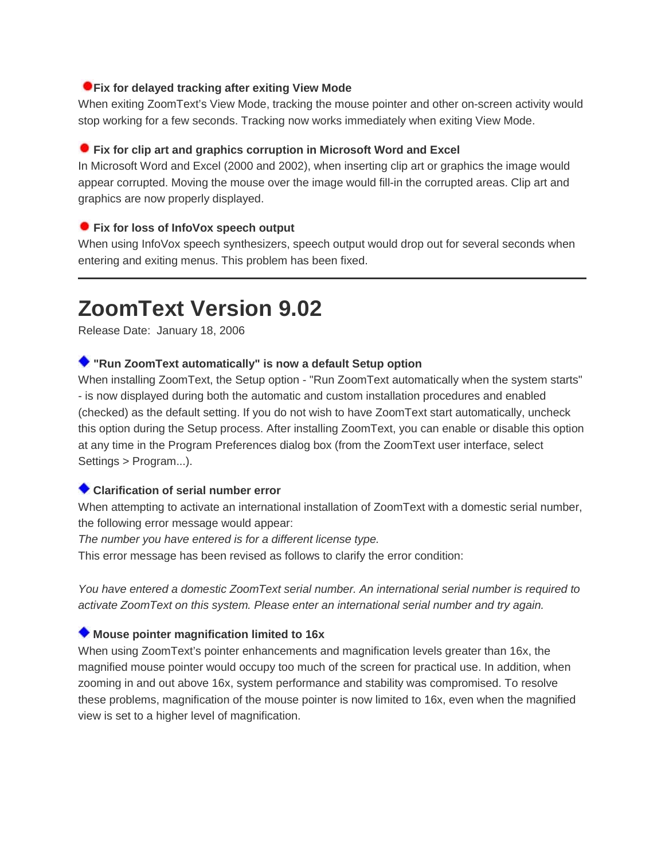## **Fix for delayed tracking after exiting View Mode**

When exiting ZoomText's View Mode, tracking the mouse pointer and other on-screen activity would stop working for a few seconds. Tracking now works immediately when exiting View Mode.

## **Fix for clip art and graphics corruption in Microsoft Word and Excel**

In Microsoft Word and Excel (2000 and 2002), when inserting clip art or graphics the image would appear corrupted. Moving the mouse over the image would fill-in the corrupted areas. Clip art and graphics are now properly displayed.

## **Fix for loss of InfoVox speech output**

When using InfoVox speech synthesizers, speech output would drop out for several seconds when entering and exiting menus. This problem has been fixed.

## **ZoomText Version 9.02**

Release Date: January 18, 2006

## **"Run ZoomText automatically" is now a default Setup option**

When installing ZoomText, the Setup option - "Run ZoomText automatically when the system starts" - is now displayed during both the automatic and custom installation procedures and enabled (checked) as the default setting. If you do not wish to have ZoomText start automatically, uncheck this option during the Setup process. After installing ZoomText, you can enable or disable this option at any time in the Program Preferences dialog box (from the ZoomText user interface, select Settings > Program...).

## **Clarification of serial number error**

When attempting to activate an international installation of ZoomText with a domestic serial number, the following error message would appear:

*The number you have entered is for a different license type.*

This error message has been revised as follows to clarify the error condition:

*You have entered a domestic ZoomText serial number. An international serial number is required to activate ZoomText on this system. Please enter an international serial number and try again.*

## **Mouse pointer magnification limited to 16x**

When using ZoomText's pointer enhancements and magnification levels greater than 16x, the magnified mouse pointer would occupy too much of the screen for practical use. In addition, when zooming in and out above 16x, system performance and stability was compromised. To resolve these problems, magnification of the mouse pointer is now limited to 16x, even when the magnified view is set to a higher level of magnification.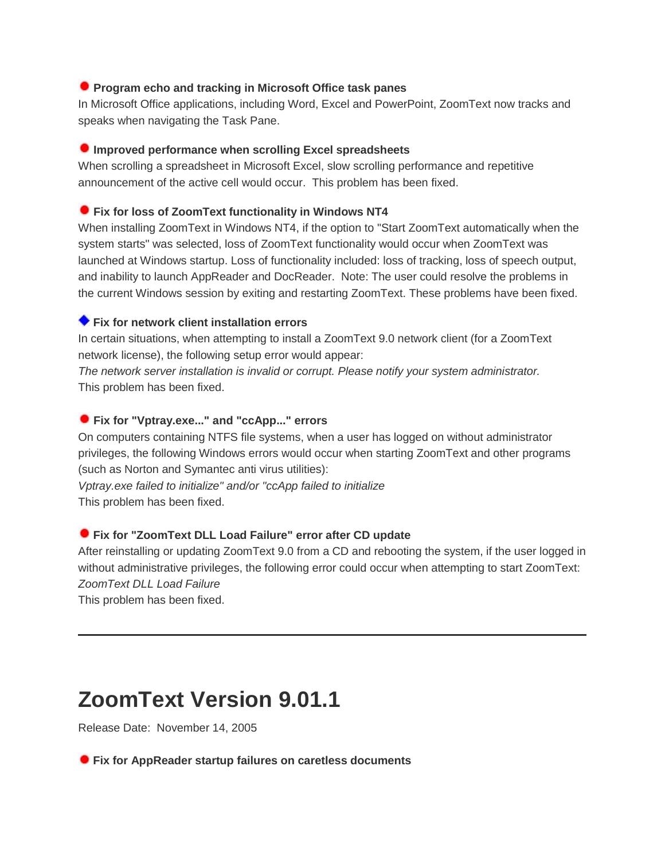## **Program echo and tracking in Microsoft Office task panes**

In Microsoft Office applications, including Word, Excel and PowerPoint, ZoomText now tracks and speaks when navigating the Task Pane.

## **Improved performance when scrolling Excel spreadsheets**

When scrolling a spreadsheet in Microsoft Excel, slow scrolling performance and repetitive announcement of the active cell would occur. This problem has been fixed.

## **Fix for loss of ZoomText functionality in Windows NT4**

When installing ZoomText in Windows NT4, if the option to "Start ZoomText automatically when the system starts" was selected, loss of ZoomText functionality would occur when ZoomText was launched at Windows startup. Loss of functionality included: loss of tracking, loss of speech output, and inability to launch AppReader and DocReader. Note: The user could resolve the problems in the current Windows session by exiting and restarting ZoomText. These problems have been fixed.

## **Fix for network client installation errors**

In certain situations, when attempting to install a ZoomText 9.0 network client (for a ZoomText network license), the following setup error would appear:

*The network server installation is invalid or corrupt. Please notify your system administrator.* This problem has been fixed.

## **Fix for "Vptray.exe..." and "ccApp..." errors**

On computers containing NTFS file systems, when a user has logged on without administrator privileges, the following Windows errors would occur when starting ZoomText and other programs (such as Norton and Symantec anti virus utilities):

*Vptray.exe failed to initialize" and/or "ccApp failed to initialize* This problem has been fixed.

## **Fix for "ZoomText DLL Load Failure" error after CD update**

After reinstalling or updating ZoomText 9.0 from a CD and rebooting the system, if the user logged in without administrative privileges, the following error could occur when attempting to start ZoomText: *ZoomText DLL Load Failure*

This problem has been fixed.

## **ZoomText Version 9.01.1**

Release Date: November 14, 2005

**Fix for AppReader startup failures on caretless documents**